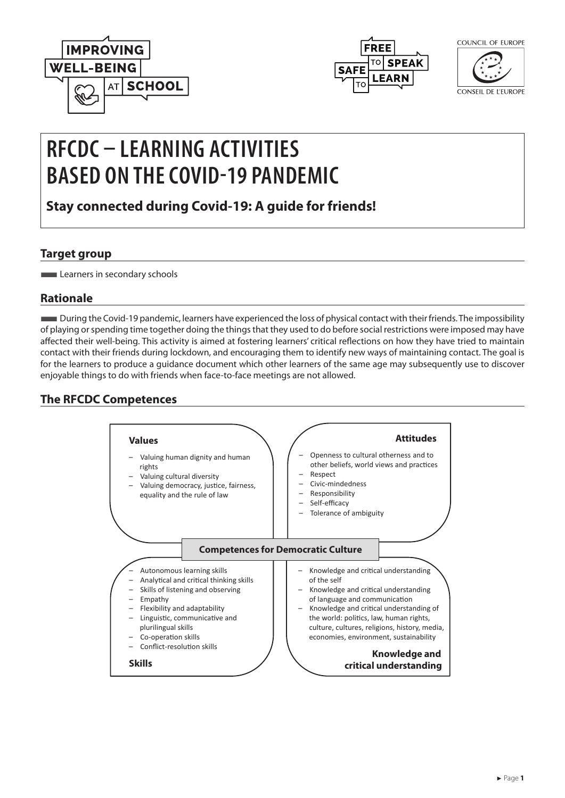



| COLINCIL | OF FUROPE |
|----------|-----------|
|          |           |

CONSEIL DE L'EUROPE

# **RFCDC – LEARNING ACTIVITIES BASED ON THE COVID-19 PANDEMIC**

**Stay connected during Covid-19: A guide for friends!**

### **Target group**

**Learners in secondary schools** 

# **Rationale**

■During the Covid-19 pandemic, learners have experienced the loss of physical contact with their friends. The impossibility of playing or spending time together doing the things that they used to do before social restrictions were imposed may have affected their well-being. This activity is aimed at fostering learners' critical reflections on how they have tried to maintain contact with their friends during lockdown, and encouraging them to identify new ways of maintaining contact. The goal is for the learners to produce a guidance document which other learners of the same age may subsequently use to discover enjoyable things to do with friends when face-to-face meetings are not allowed.

# **The RFCDC Competences**

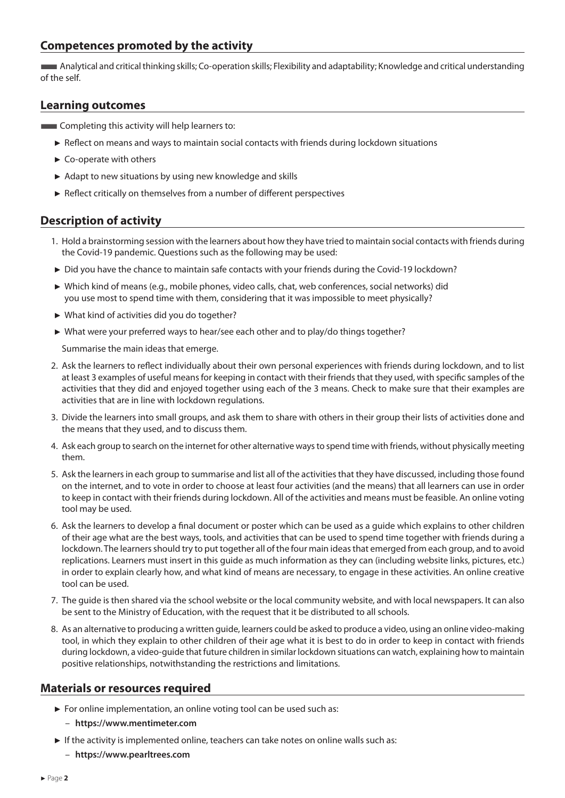#### **Competences promoted by the activity**

■Analytical and critical thinking skills; Co-operation skills; Flexibility and adaptability; Knowledge and critical understanding of the self.

#### **Learning outcomes**

- **EXECOMPLE COMPLETE IN A COMPLETE IN A COMPLETE IN A COMPLETE IS CONTINUES.** 
	- ► Reflect on means and ways to maintain social contacts with friends during lockdown situations
	- ► Co-operate with others
	- ► Adapt to new situations by using new knowledge and skills
	- ► Reflect critically on themselves from a number of different perspectives

#### **Description of activity**

- 1. Hold a brainstorming session with the learners about how they have tried to maintain social contacts with friends during the Covid-19 pandemic. Questions such as the following may be used:
- ► Did you have the chance to maintain safe contacts with your friends during the Covid-19 lockdown?
- ► Which kind of means (e.g., mobile phones, video calls, chat, web conferences, social networks) did you use most to spend time with them, considering that it was impossible to meet physically?
- ► What kind of activities did you do together?
- ► What were your preferred ways to hear/see each other and to play/do things together?

Summarise the main ideas that emerge.

- 2. Ask the learners to reflect individually about their own personal experiences with friends during lockdown, and to list at least 3 examples of useful means for keeping in contact with their friends that they used, with specific samples of the activities that they did and enjoyed together using each of the 3 means. Check to make sure that their examples are activities that are in line with lockdown regulations.
- 3. Divide the learners into small groups, and ask them to share with others in their group their lists of activities done and the means that they used, and to discuss them.
- 4. Ask each group to search on the internet for other alternative ways to spend time with friends, without physically meeting them.
- 5. Ask the learners in each group to summarise and list all of the activities that they have discussed, including those found on the internet, and to vote in order to choose at least four activities (and the means) that all learners can use in order to keep in contact with their friends during lockdown. All of the activities and means must be feasible. An online voting tool may be used.
- 6. Ask the learners to develop a final document or poster which can be used as a guide which explains to other children of their age what are the best ways, tools, and activities that can be used to spend time together with friends during a lockdown. The learners should try to put together all of the four main ideas that emerged from each group, and to avoid replications. Learners must insert in this guide as much information as they can (including website links, pictures, etc.) in order to explain clearly how, and what kind of means are necessary, to engage in these activities. An online creative tool can be used.
- 7. The guide is then shared via the school website or the local community website, and with local newspapers. It can also be sent to the Ministry of Education, with the request that it be distributed to all schools.
- 8. As an alternative to producing a written guide, learners could be asked to produce a video, using an online video-making tool, in which they explain to other children of their age what it is best to do in order to keep in contact with friends during lockdown, a video-guide that future children in similar lockdown situations can watch, explaining how to maintain positive relationships, notwithstanding the restrictions and limitations.

#### **Materials or resources required**

- ► For online implementation, an online voting tool can be used such as:
	- **[https://www.mentimeter.com](https://www.mentimeter.com )**
- ► If the activity is implemented online, teachers can take notes on online walls such as:
	- **<https://www.pearltrees.com>**